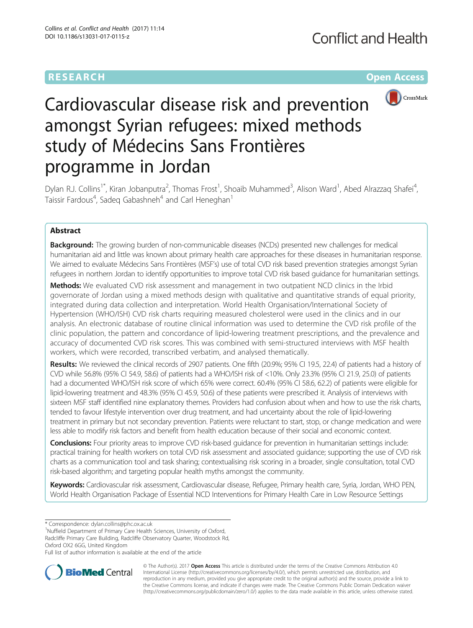# **RESEARCH CHEAR CHEAR CHEAR CHEAR CHEAR CHEAR CHEAR CHEAR CHEAR CHEAR CHEAR CHEAR CHEAR CHEAR CHEAR CHEAR CHEAR**



# Cardiovascular disease risk and prevention amongst Syrian refugees: mixed methods study of Médecins Sans Frontières programme in Jordan

Dylan R.J. Collins<sup>1\*</sup>, Kiran Jobanputra<sup>2</sup>, Thomas Frost<sup>1</sup>, Shoaib Muhammed<sup>3</sup>, Alison Ward<sup>1</sup>, Abed Alrazzaq Shafei<sup>4</sup> , Taissir Fardous<sup>4</sup>, Sadeq Gabashneh<sup>4</sup> and Carl Heneghan<sup>1</sup>

# Abstract

**Background:** The growing burden of non-communicable diseases (NCDs) presented new challenges for medical humanitarian aid and little was known about primary health care approaches for these diseases in humanitarian response. We aimed to evaluate Médecins Sans Frontières (MSF's) use of total CVD risk based prevention strategies amongst Syrian refugees in northern Jordan to identify opportunities to improve total CVD risk based guidance for humanitarian settings.

Methods: We evaluated CVD risk assessment and management in two outpatient NCD clinics in the Irbid governorate of Jordan using a mixed methods design with qualitative and quantitative strands of equal priority, integrated during data collection and interpretation. World Health Organisation/International Society of Hypertension (WHO/ISH) CVD risk charts requiring measured cholesterol were used in the clinics and in our analysis. An electronic database of routine clinical information was used to determine the CVD risk profile of the clinic population, the pattern and concordance of lipid-lowering treatment prescriptions, and the prevalence and accuracy of documented CVD risk scores. This was combined with semi-structured interviews with MSF health workers, which were recorded, transcribed verbatim, and analysed thematically.

Results: We reviewed the clinical records of 2907 patients. One fifth (20.9%; 95% CI 19.5, 22.4) of patients had a history of CVD while 56.8% (95% CI 54.9, 58.6) of patients had a WHO/ISH risk of <10%. Only 23.3% (95% CI 21.9, 25.0) of patients had a documented WHO/ISH risk score of which 65% were correct. 60.4% (95% CI 58.6, 62.2) of patients were eligible for lipid-lowering treatment and 48.3% (95% CI 45.9, 50.6) of these patients were prescribed it. Analysis of interviews with sixteen MSF staff identified nine explanatory themes. Providers had confusion about when and how to use the risk charts, tended to favour lifestyle intervention over drug treatment, and had uncertainty about the role of lipid-lowering treatment in primary but not secondary prevention. Patients were reluctant to start, stop, or change medication and were less able to modify risk factors and benefit from health education because of their social and economic context.

Conclusions: Four priority areas to improve CVD risk-based quidance for prevention in humanitarian settings include: practical training for health workers on total CVD risk assessment and associated guidance; supporting the use of CVD risk charts as a communication tool and task sharing; contextualising risk scoring in a broader, single consultation, total CVD risk-based algorithm; and targeting popular health myths amongst the community.

Keywords: Cardiovascular risk assessment, Cardiovascular disease, Refugee, Primary health care, Syria, Jordan, WHO PEN, World Health Organisation Package of Essential NCD Interventions for Primary Health Care in Low Resource Settings

\* Correspondence: [dylan.collins@phc.ox.ac.uk](mailto:dylan.collins@phc.ox.ac.uk) <sup>1</sup>

<sup>1</sup>Nuffield Department of Primary Care Health Sciences, University of Oxford, Radcliffe Primary Care Building, Radcliffe Observatory Quarter, Woodstock Rd,

Oxford OX2 6GG, United Kingdom

Full list of author information is available at the end of the article



© The Author(s). 2017 **Open Access** This article is distributed under the terms of the Creative Commons Attribution 4.0 International License [\(http://creativecommons.org/licenses/by/4.0/](http://creativecommons.org/licenses/by/4.0/)), which permits unrestricted use, distribution, and reproduction in any medium, provided you give appropriate credit to the original author(s) and the source, provide a link to the Creative Commons license, and indicate if changes were made. The Creative Commons Public Domain Dedication waiver [\(http://creativecommons.org/publicdomain/zero/1.0/](http://creativecommons.org/publicdomain/zero/1.0/)) applies to the data made available in this article, unless otherwise stated.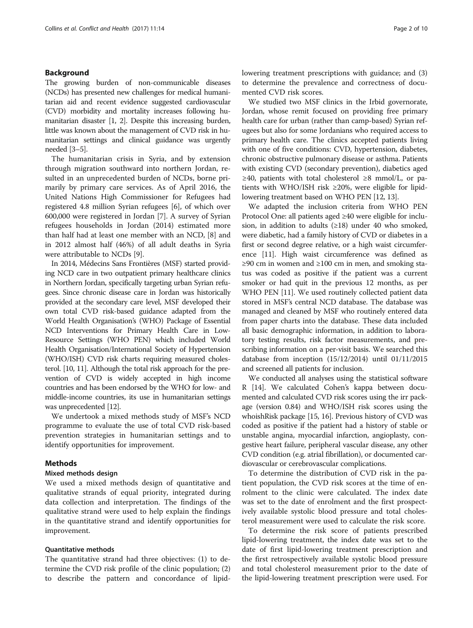### Background

The growing burden of non-communicable diseases (NCDs) has presented new challenges for medical humanitarian aid and recent evidence suggested cardiovascular (CVD) morbidity and mortality increases following humanitarian disaster [\[1, 2\]](#page-9-0). Despite this increasing burden, little was known about the management of CVD risk in humanitarian settings and clinical guidance was urgently needed [\[3](#page-9-0)–[5](#page-9-0)].

The humanitarian crisis in Syria, and by extension through migration southward into northern Jordan, resulted in an unprecedented burden of NCDs, borne primarily by primary care services. As of April 2016, the United Nations High Commissioner for Refugees had registered 4.8 million Syrian refugees [[6\]](#page-9-0), of which over 600,000 were registered in Jordan [\[7\]](#page-9-0). A survey of Syrian refugees households in Jordan (2014) estimated more than half had at least one member with an NCD, [\[8](#page-9-0)] and in 2012 almost half (46%) of all adult deaths in Syria were attributable to NCDs [\[9](#page-9-0)].

In 2014, Médecins Sans Frontières (MSF) started providing NCD care in two outpatient primary healthcare clinics in Northern Jordan, specifically targeting urban Syrian refugees. Since chronic disease care in Jordan was historically provided at the secondary care level, MSF developed their own total CVD risk-based guidance adapted from the World Health Organisation's (WHO) Package of Essential NCD Interventions for Primary Health Care in Low-Resource Settings (WHO PEN) which included World Health Organisation/International Society of Hypertension (WHO/ISH) CVD risk charts requiring measured cholesterol. [\[10, 11](#page-9-0)]. Although the total risk approach for the prevention of CVD is widely accepted in high income countries and has been endorsed by the WHO for low- and middle-income countries, its use in humanitarian settings was unprecedented [[12](#page-9-0)].

We undertook a mixed methods study of MSF's NCD programme to evaluate the use of total CVD risk-based prevention strategies in humanitarian settings and to identify opportunities for improvement.

#### Methods

# Mixed methods design

We used a mixed methods design of quantitative and qualitative strands of equal priority, integrated during data collection and interpretation. The findings of the qualitative strand were used to help explain the findings in the quantitative strand and identify opportunities for improvement.

#### Quantitative methods

The quantitative strand had three objectives: (1) to determine the CVD risk profile of the clinic population; (2) to describe the pattern and concordance of lipidlowering treatment prescriptions with guidance; and (3) to determine the prevalence and correctness of documented CVD risk scores.

We studied two MSF clinics in the Irbid governorate, Jordan, whose remit focused on providing free primary health care for urban (rather than camp-based) Syrian refugees but also for some Jordanians who required access to primary health care. The clinics accepted patients living with one of five conditions: CVD, hypertension, diabetes, chronic obstructive pulmonary disease or asthma. Patients with existing CVD (secondary prevention), diabetics aged  $≥40$ , patients with total cholesterol  $≥8$  mmol/L, or patients with WHO/ISH risk ≥20%, were eligible for lipidlowering treatment based on WHO PEN [\[12, 13](#page-9-0)].

We adapted the inclusion criteria from WHO PEN Protocol One: all patients aged ≥40 were eligible for inclusion, in addition to adults  $(\geq 18)$  under 40 who smoked, were diabetic, had a family history of CVD or diabetes in a first or second degree relative, or a high waist circumference [\[11\]](#page-9-0). High waist circumference was defined as ≥90 cm in women and ≥100 cm in men, and smoking status was coded as positive if the patient was a current smoker or had quit in the previous 12 months, as per WHO PEN [\[11\]](#page-9-0). We used routinely collected patient data stored in MSF's central NCD database. The database was managed and cleaned by MSF who routinely entered data from paper charts into the database. These data included all basic demographic information, in addition to laboratory testing results, risk factor measurements, and prescribing information on a per-visit basis. We searched this database from inception (15/12/2014) until 01/11/2015 and screened all patients for inclusion.

We conducted all analyses using the statistical software R [\[14\]](#page-9-0). We calculated Cohen's kappa between documented and calculated CVD risk scores using the irr package (version 0.84) and WHO/ISH risk scores using the whoishRisk package [\[15](#page-9-0), [16\]](#page-9-0). Previous history of CVD was coded as positive if the patient had a history of stable or unstable angina, myocardial infarction, angioplasty, congestive heart failure, peripheral vascular disease, any other CVD condition (e.g. atrial fibrillation), or documented cardiovascular or cerebrovascular complications.

To determine the distribution of CVD risk in the patient population, the CVD risk scores at the time of enrolment to the clinic were calculated. The index date was set to the date of enrolment and the first prospectively available systolic blood pressure and total cholesterol measurement were used to calculate the risk score.

To determine the risk score of patients prescribed lipid-lowering treatment, the index date was set to the date of first lipid-lowering treatment prescription and the first retrospectively available systolic blood pressure and total cholesterol measurement prior to the date of the lipid-lowering treatment prescription were used. For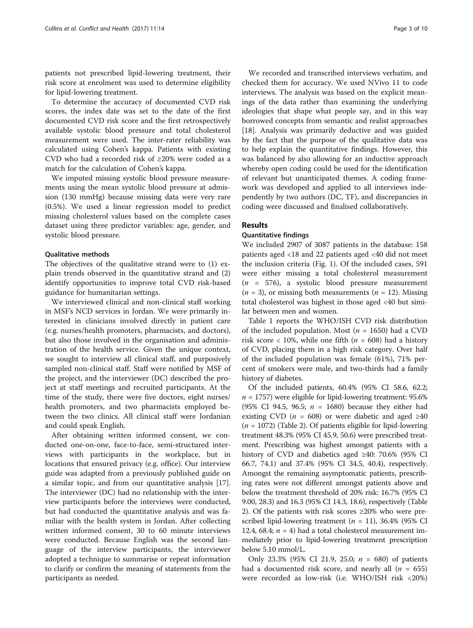patients not prescribed lipid-lowering treatment, their risk score at enrolment was used to determine eligibility for lipid-lowering treatment.

To determine the accuracy of documented CVD risk scores, the index date was set to the date of the first documented CVD risk score and the first retrospectively available systolic blood pressure and total cholesterol measurement were used. The inter-rater reliability was calculated using Cohen's kappa. Patients with existing CVD who had a recorded risk of ≥20% were coded as a match for the calculation of Cohen's kappa.

We imputed missing systolic blood pressure measurements using the mean systolic blood pressure at admission (130 mmHg) because missing data were very rare (0.5%). We used a linear regression model to predict missing cholesterol values based on the complete cases dataset using three predictor variables: age, gender, and systolic blood pressure.

#### Qualitative methods

The objectives of the qualitative strand were to (1) explain trends observed in the quantitative strand and (2) identify opportunities to improve total CVD risk-based guidance for humanitarian settings.

We interviewed clinical and non-clinical staff working in MSF's NCD services in Jordan. We were primarily interested in clinicians involved directly in patient care (e.g. nurses/health promoters, pharmacists, and doctors), but also those involved in the organisation and administration of the health service. Given the unique context, we sought to interview all clinical staff, and purposively sampled non-clinical staff. Staff were notified by MSF of the project, and the interviewer (DC) described the project at staff meetings and recruited participants. At the time of the study, there were five doctors, eight nurses/ health promoters, and two pharmacists employed between the two clinics. All clinical staff were Jordanian and could speak English.

After obtaining written informed consent, we conducted one-on-one, face-to-face, semi-structured interviews with participants in the workplace, but in locations that ensured privacy (e.g. office). Our interview guide was adapted from a previously published guide on a similar topic, and from our quantitative analysis [\[17](#page-9-0)]. The interviewer (DC) had no relationship with the interview participants before the interviews were conducted, but had conducted the quantitative analysis and was familiar with the health system in Jordan. After collecting written informed consent, 30 to 60 minute interviews were conducted. Because English was the second language of the interview participants, the interviewer adopted a technique to summarise or repeat information to clarify or confirm the meaning of statements from the participants as needed.

We recorded and transcribed interviews verbatim, and checked them for accuracy. We used NVivo 11 to code interviews. The analysis was based on the explicit meanings of the data rather than examining the underlying ideologies that shape what people say, and in this way borrowed concepts from semantic and realist approaches [[18\]](#page-9-0). Analysis was primarily deductive and was guided by the fact that the purpose of the qualitative data was to help explain the quantitative findings. However, this was balanced by also allowing for an inductive approach whereby open coding could be used for the identification of relevant but unanticipated themes. A coding framework was developed and applied to all interviews independently by two authors (DC, TF), and discrepancies in coding were discussed and finalised collaboratively.

# Results

#### Quantitative findings

We included 2907 of 3087 patients in the database: 158 patients aged <18 and 22 patients aged <40 did not meet the inclusion criteria (Fig. [1\)](#page-3-0). Of the included cases, 591 were either missing a total cholesterol measurement  $(n = 576)$ , a systolic blood pressure measurement  $(n = 3)$ , or missing both measurements  $(n = 12)$ . Missing total cholesterol was highest in those aged <40 but similar between men and women.

Table [1](#page-4-0) reports the WHO/ISH CVD risk distribution of the included population. Most ( $n = 1650$ ) had a CVD risk score < 10%, while one fifth ( $n = 608$ ) had a history of CVD, placing them in a high risk category. Over half of the included population was female (61%), 71% percent of smokers were male, and two-thirds had a family history of diabetes.

Of the included patients, 60.4% (95% CI 58.6, 62.2;  $n = 1757$ ) were eligible for lipid-lowering treatment: 95.6% (95% CI 94.5, 96.5;  $n = 1680$ ) because they either had existing CVD ( $n = 608$ ) or were diabetic and aged ≥40  $(n = 1072)$  (Table [2](#page-4-0)). Of patients eligible for lipid-lowering treatment 48.3% (95% CI 45.9, 50.6) were prescribed treatment. Prescribing was highest amongst patients with a history of CVD and diabetics aged ≥40: 70.6% (95% CI 66.7, 74.1) and 37.4% (95% CI 34.5, 40.4), respectively. Amongst the remaining asymptomatic patients, prescribing rates were not different amongst patients above and below the treatment threshold of 20% risk: 16.7% (95% CI 9.00, 28.3) and 16.3 (95% CI 14.3, 18.6), respectively (Table [2\)](#page-4-0). Of the patients with risk scores ≥20% who were prescribed lipid-lowering treatment ( $n = 11$ ), 36.4% (95% CI 12.4, 68.4;  $n = 4$ ) had a total cholesterol measurement immediately prior to lipid-lowering treatment prescription below 5.10 mmol/L.

Only 23.3% (95% CI 21.9, 25.0;  $n = 680$ ) of patients had a documented risk score, and nearly all  $(n = 655)$ were recorded as low-risk (i.e. WHO/ISH risk <20%)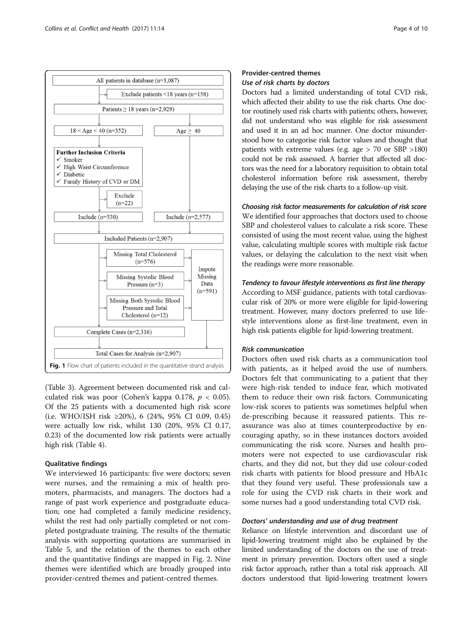<span id="page-3-0"></span>

(Table [3](#page-5-0)). Agreement between documented risk and calculated risk was poor (Cohen's kappa 0.178,  $p < 0.05$ ). Of the 25 patients with a documented high risk score (i.e. WHO/ISH risk ≥20%), 6 (24%, 95% CI 0.09, 0.45) were actually low risk, whilst 130 (20%, 95% CI 0.17, 0.23) of the documented low risk patients were actually high risk (Table [4\)](#page-5-0).

#### Qualitative findings

We interviewed 16 participants: five were doctors; seven were nurses, and the remaining a mix of health promoters, pharmacists, and managers. The doctors had a range of past work experience and postgraduate education; one had completed a family medicine residency, whilst the rest had only partially completed or not completed postgraduate training. The results of the thematic analysis with supporting quotations are summarised in Table [5](#page-6-0), and the relation of the themes to each other and the quantitative findings are mapped in Fig. [2](#page-8-0). Nine themes were identified which are broadly grouped into provider-centred themes and patient-centred themes.

# Provider-centred themes Use of risk charts by doctors

Doctors had a limited understanding of total CVD risk, which affected their ability to use the risk charts. One doctor routinely used risk charts with patients; others, however, did not understand who was eligible for risk assessment and used it in an ad hoc manner. One doctor misunderstood how to categorise risk factor values and thought that patients with extreme values (e.g. age > 70 or SBP >180) could not be risk assessed. A barrier that affected all doctors was the need for a laboratory requisition to obtain total cholesterol information before risk assessment, thereby delaying the use of the risk charts to a follow-up visit.

# Choosing risk factor measurements for calculation of risk score

We identified four approaches that doctors used to choose SBP and cholesterol values to calculate a risk score. These consisted of using the most recent value, using the highest value, calculating multiple scores with multiple risk factor values, or delaying the calculation to the next visit when the readings were more reasonable.

### Tendency to favour lifestyle interventions as first line therapy

According to MSF guidance, patients with total cardiovascular risk of 20% or more were eligible for lipid-lowering treatment. However, many doctors preferred to use lifestyle interventions alone as first-line treatment, even in high risk patients eligible for lipid-lowering treatment.

#### Risk communication

Doctors often used risk charts as a communication tool with patients, as it helped avoid the use of numbers. Doctors felt that communicating to a patient that they were high-risk tended to induce fear, which motivated them to reduce their own risk factors. Communicating low-risk scores to patients was sometimes helpful when de-prescribing because it reassured patients. This reassurance was also at times counterproductive by encouraging apathy, so in these instances doctors avoided communicating the risk score. Nurses and health promoters were not expected to use cardiovascular risk charts, and they did not, but they did use colour-coded risk charts with patients for blood pressure and HbA1c that they found very useful. These professionals saw a role for using the CVD risk charts in their work and some nurses had a good understanding total CVD risk.

#### Doctors' understanding and use of drug treatment

Reliance on lifestyle intervention and discordant use of lipid-lowering treatment might also be explained by the limited understanding of the doctors on the use of treatment in primary prevention. Doctors often used a single risk factor approach, rather than a total risk approach. All doctors understood that lipid-lowering treatment lowers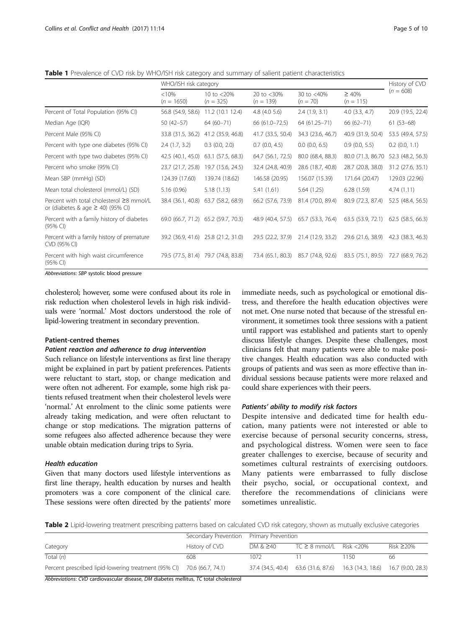<span id="page-4-0"></span>Table 1 Prevalence of CVD risk by WHO/ISH risk category and summary of salient patient characteristics

|                                                                                    | WHO/ISH risk category   |                                     |                              |                          |                            | History of CVD    |  |
|------------------------------------------------------------------------------------|-------------------------|-------------------------------------|------------------------------|--------------------------|----------------------------|-------------------|--|
|                                                                                    | $<10\%$<br>$(n = 1650)$ | 10 to $<$ 20%<br>$(n = 325)$        | 20 to $<$ 30%<br>$(n = 139)$ | 30 to <40%<br>$(n = 70)$ | $\geq 40\%$<br>$(n = 115)$ | $(n = 608)$       |  |
| Percent of Total Population (95% CI)                                               | 56.8 (54.9, 58.6)       | 11.2 (10.1 12.4)                    | 4.8 $(4.05.6)$               | 2.4(1.9, 3.1)            | $4.0$ $(3.3, 4.7)$         | 20.9 (19.5, 22.4) |  |
| Median Age (IQR)                                                                   | 50 (42-57)              | 64 (60-71)                          | 66 (61.0 - 72.5)             | 64 (61.25 - 71)          | $66(62 - 71)$              | $61(53-68)$       |  |
| Percent Male (95% CI)                                                              | 33.8 (31.5, 36.2)       | 41.2 (35.9, 46.8)                   | 41.7 (33.5, 50.4)            | 34.3 (23.6, 46.7)        | 40.9 (31.9, 50.4)          | 53.5 (49.4, 57.5) |  |
| Percent with type one diabetes (95% CI)                                            | 2.4(1.7, 3.2)           | $0.3$ $(0.0, 2.0)$                  | 0.7(0.0, 4.5)                | $0.0$ $(0.0, 6.5)$       | 0.9(0.0, 5.5)              | $0.2$ (0.0, 1.1)  |  |
| Percent with type two diabetes (95% CI)                                            | 42.5 (40.1, 45.0)       | 63.1 (57.5, 68.3)                   | 64.7 (56.1, 72.5)            | 80.0 (68.4, 88.3)        | 80.0 (71.3, 86.70)         | 52.3 (48.2, 56.3) |  |
| Percent who smoke (95% CI)                                                         | 23.7 (21.7, 25.8)       | 19.7 (15.6, 24.5)                   | 32.4 (24.8, 40.9)            | 28.6 (18.7, 40.8)        | 28.7 (20.8, 38.0)          | 31.2 (27.6, 35.1) |  |
| Mean SBP (mmHg) (SD)                                                               | 124.39 (17.60)          | 139.74 (18.62)                      | 146.58 (20.95)               | 156.07 (15.39)           | 171.64 (20.47)             | 129.03 (22.96)    |  |
| Mean total cholesterol (mmol/L) (SD)                                               | 5.16(0.96)              | 5.18(1.13)                          | 5.41(1.61)                   | 5.64(1.25)               | 6.28(1.59)                 | 4.74(1.11)        |  |
| Percent with total cholesterol ≥8 mmol/L<br>or (diabetes & age $\geq$ 40) (95% CI) | 38.4 (36.1, 40.8)       | 63.7 (58.2, 68.9)                   | 66.2 (57.6, 73.9)            | 81.4 (70.0, 89.4)        | 80.9 (72.3, 87.4)          | 52.5 (48.4, 56.5) |  |
| Percent with a family history of diabetes<br>(95% CI)                              |                         | 69.0 (66.7, 71.2) 65.2 (59.7, 70.3) | 48.9 (40.4, 57.5)            | 65.7 (53.3, 76.4)        | 63.5 (53.9, 72.1)          | 62.5(58.5, 66.3)  |  |
| Percent with a family history of premature<br>CVD (95% CI)                         |                         | 39.2 (36.9, 41.6) 25.8 (21.2, 31.0) | 29.5 (22.2, 37.9)            | 21.4 (12.9, 33.2)        | 29.6 (21.6, 38.9)          | 42.3 (38.3, 46.3) |  |
| Percent with high waist circumference<br>(95% CI)                                  |                         | 79.5 (77.5, 81.4) 79.7 (74.8, 83.8) | 73.4 (65.1, 80.3)            | 85.7 (74.8, 92.6)        | 83.5 (75.1, 89.5)          | 72.7 (68.9, 76.2) |  |

Abbreviations: SBP systolic blood pressure

cholesterol; however, some were confused about its role in risk reduction when cholesterol levels in high risk individuals were 'normal.' Most doctors understood the role of lipid-lowering treatment in secondary prevention.

### Patient-centred themes

#### Patient reaction and adherence to drug intervention

Such reliance on lifestyle interventions as first line therapy might be explained in part by patient preferences. Patients were reluctant to start, stop, or change medication and were often not adherent. For example, some high risk patients refused treatment when their cholesterol levels were 'normal.' At enrolment to the clinic some patients were already taking medication, and were often reluctant to change or stop medications. The migration patterns of some refugees also affected adherence because they were unable obtain medication during trips to Syria.

#### Health education

Given that many doctors used lifestyle interventions as first line therapy, health education by nurses and health promoters was a core component of the clinical care. These sessions were often directed by the patients' more immediate needs, such as psychological or emotional distress, and therefore the health education objectives were not met. One nurse noted that because of the stressful environment, it sometimes took three sessions with a patient until rapport was established and patients start to openly discuss lifestyle changes. Despite these challenges, most clinicians felt that many patients were able to make positive changes. Health education was also conducted with groups of patients and was seen as more effective than individual sessions because patients were more relaxed and could share experiences with their peers.

#### Patients' ability to modify risk factors

Despite intensive and dedicated time for health education, many patients were not interested or able to exercise because of personal security concerns, stress, and psychological distress. Women were seen to face greater challenges to exercise, because of security and sometimes cultural restraints of exercising outdoors. Many patients were embarrassed to fully disclose their psycho, social, or occupational context, and therefore the recommendations of clinicians were sometimes unrealistic.

Table 2 Lipid-lowering treatment prescribing patterns based on calculated CVD risk category, shown as mutually exclusive categories

|                                                                                       | Secondary Prevention | Primary Prevention |                                                                         |     |                 |  |
|---------------------------------------------------------------------------------------|----------------------|--------------------|-------------------------------------------------------------------------|-----|-----------------|--|
| Category                                                                              | History of CVD       | DM & ≥40           | $TC \geq 8$ mmol/L Risk <20%                                            |     | Risk $\geq$ 20% |  |
| Total $(n)$                                                                           | 608                  | 1072               |                                                                         | 150 | 66              |  |
| Percent prescribed lipid-lowering treatment (95% CI) 70.6 (66.7, 74.1)                |                      |                    | 37.4 (34.5, 40.4) 63.6 (31.6, 87.6) 16.3 (14.3, 18.6) 16.7 (9.00, 28.3) |     |                 |  |
| Abbreviations: CVD cardiovascular disease, DM diabetes mellitus, TC total cholesterol |                      |                    |                                                                         |     |                 |  |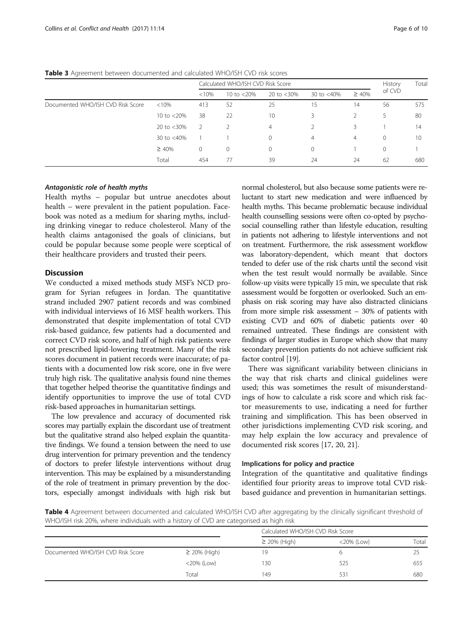|                                   |               | Calculated WHO/ISH CVD Risk Score |            |               | History        | Total       |             |     |
|-----------------------------------|---------------|-----------------------------------|------------|---------------|----------------|-------------|-------------|-----|
|                                   |               | $< 10\%$                          | 10 to <20% | 20 to $<$ 30% | 30 to <40%     | $\geq 40\%$ | of CVD      |     |
| Documented WHO/ISH CVD Risk Score | $<10\%$       | 413                               | 52         | 25            | 15             | 14          | 56          | 575 |
|                                   | 10 to $<$ 20% | 38                                | 22         | 10            | 3              |             | 5           | 80  |
|                                   | 20 to $<$ 30% | 2                                 |            | 4             | $\mathfrak{D}$ | 3           |             | 14  |
|                                   | 30 to $<$ 40% |                                   |            | 0             | $\overline{4}$ | 4           | $\mathbf 0$ | 10  |
|                                   | $\geq 40\%$   | $\mathbf 0$                       | $\Omega$   | 0             | $\mathbf{0}$   |             | $\Omega$    |     |
|                                   | Total         | 454                               | 77         | 39            | 24             | 24          | 62          | 680 |

<span id="page-5-0"></span>Table 3 Agreement between documented and calculated WHO/ISH CVD risk scores

#### Antagonistic role of health myths

Health myths – popular but untrue anecdotes about health – were prevalent in the patient population. Facebook was noted as a medium for sharing myths, including drinking vinegar to reduce cholesterol. Many of the health claims antagonised the goals of clinicians, but could be popular because some people were sceptical of their healthcare providers and trusted their peers.

# **Discussion**

We conducted a mixed methods study MSF's NCD program for Syrian refugees in Jordan. The quantitative strand included 2907 patient records and was combined with individual interviews of 16 MSF health workers. This demonstrated that despite implementation of total CVD risk-based guidance, few patients had a documented and correct CVD risk score, and half of high risk patients were not prescribed lipid-lowering treatment. Many of the risk scores document in patient records were inaccurate; of patients with a documented low risk score, one in five were truly high risk. The qualitative analysis found nine themes that together helped theorise the quantitative findings and identify opportunities to improve the use of total CVD risk-based approaches in humanitarian settings.

The low prevalence and accuracy of documented risk scores may partially explain the discordant use of treatment but the qualitative strand also helped explain the quantitative findings. We found a tension between the need to use drug intervention for primary prevention and the tendency of doctors to prefer lifestyle interventions without drug intervention. This may be explained by a misunderstanding of the role of treatment in primary prevention by the doctors, especially amongst individuals with high risk but normal cholesterol, but also because some patients were reluctant to start new medication and were influenced by health myths. This became problematic because individual health counselling sessions were often co-opted by psychosocial counselling rather than lifestyle education, resulting in patients not adhering to lifestyle interventions and not on treatment. Furthermore, the risk assessment workflow was laboratory-dependent, which meant that doctors tended to defer use of the risk charts until the second visit when the test result would normally be available. Since follow-up visits were typically 15 min, we speculate that risk assessment would be forgotten or overlooked. Such an emphasis on risk scoring may have also distracted clinicians from more simple risk assessment – 30% of patients with existing CVD and 60% of diabetic patients over 40 remained untreated. These findings are consistent with findings of larger studies in Europe which show that many secondary prevention patients do not achieve sufficient risk factor control [[19](#page-9-0)].

There was significant variability between clinicians in the way that risk charts and clinical guidelines were used; this was sometimes the result of misunderstandings of how to calculate a risk score and which risk factor measurements to use, indicating a need for further training and simplification. This has been observed in other jurisdictions implementing CVD risk scoring, and may help explain the low accuracy and prevalence of documented risk scores [[17, 20](#page-9-0), [21](#page-9-0)].

#### Implications for policy and practice

Integration of the quantitative and qualitative findings identified four priority areas to improve total CVD riskbased guidance and prevention in humanitarian settings.

Table 4 Agreement between documented and calculated WHO/ISH CVD after aggregating by the clinically significant threshold of WHO/ISH risk 20%, where individuals with a history of CVD are categorised as high risk

|                                   |                   | Calculated WHO/ISH CVD Risk Score |               |       |
|-----------------------------------|-------------------|-----------------------------------|---------------|-------|
|                                   |                   | $\geq$ 20% (High)                 | $<$ 20% (Low) | Total |
| Documented WHO/ISH CVD Risk Score | $\geq$ 20% (High) | 9                                 | b             | 25    |
|                                   | $<$ 20% (Low)     | 130                               | 525           | 655   |
|                                   | Total             | 49                                | 531           | 680   |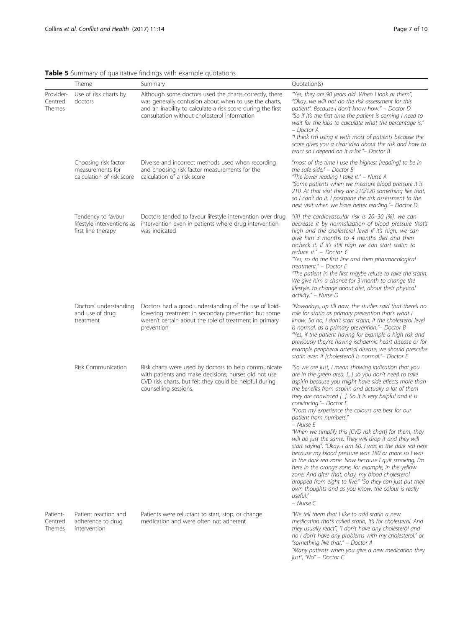# <span id="page-6-0"></span>Table 5 Summary of qualitative findings with example quotations

|                                | Theme                                                                  | Summary                                                                                                                                                                                                                        | Quotation(s)                                                                                                                                                                                                                                                                                                                                                                                                                                                                                                                                                                                                                                                                                                                                                                                                                                                                                                                                                         |
|--------------------------------|------------------------------------------------------------------------|--------------------------------------------------------------------------------------------------------------------------------------------------------------------------------------------------------------------------------|----------------------------------------------------------------------------------------------------------------------------------------------------------------------------------------------------------------------------------------------------------------------------------------------------------------------------------------------------------------------------------------------------------------------------------------------------------------------------------------------------------------------------------------------------------------------------------------------------------------------------------------------------------------------------------------------------------------------------------------------------------------------------------------------------------------------------------------------------------------------------------------------------------------------------------------------------------------------|
| Provider-<br>Centred<br>Themes | Use of risk charts by<br>doctors                                       | Although some doctors used the charts correctly, there<br>was generally confusion about when to use the charts,<br>and an inability to calculate a risk score during the first<br>consultation without cholesterol information | "Yes, they are 90 years old. When I look at them",<br>"Okay, we will not do the risk assessment for this<br>patient". Because I don't know how." - Doctor D<br>"So if it's the first time the patient is coming I need to<br>wait for the labs to calculate what the percentage is."<br>- Doctor A<br>"I think I'm using it with most of patients because the<br>score gives you a clear idea about the risk and how to<br>react so I depend on it a lot."- Doctor B                                                                                                                                                                                                                                                                                                                                                                                                                                                                                                 |
|                                | Choosing risk factor<br>measurements for<br>calculation of risk score  | Diverse and incorrect methods used when recording<br>and choosing risk factor measurements for the<br>calculation of a risk score                                                                                              | "most of the time I use the highest [reading] to be in<br>the safe side." $-$ Doctor B<br>"The lower reading I take it." - Nurse A<br>"Some patients when we measure blood pressure it is<br>210. At that visit they are 210/120 something like that,<br>so I can't do it. I postpone the risk assessment to the<br>next visit when we have better reading."- Doctor D                                                                                                                                                                                                                                                                                                                                                                                                                                                                                                                                                                                               |
|                                | Tendency to favour<br>lifestyle interventions as<br>first line therapy | Doctors tended to favour lifestyle intervention over drug<br>intervention even in patients where drug intervention<br>was indicated                                                                                            | "[if] the cardiovascular risk is 20–30 [%], we can<br>decrease it by normalization of blood pressure that's<br>high and the cholesterol level if it's high, we can<br>give him 3 months to 4 months diet and then<br>recheck it. If it's still high we can start statin to<br>reduce it." - Doctor C<br>"Yes, so do the first line and then pharmacological<br>treatment." - Doctor E<br>"The patient in the first maybe refuse to take the statin.<br>We give him a chance for 3 month to change the<br>lifestyle, to change about diet, about their physical<br>activity." - Nurse D                                                                                                                                                                                                                                                                                                                                                                               |
|                                | Doctors' understanding<br>and use of drug<br>treatment                 | Doctors had a good understanding of the use of lipid-<br>lowering treatment in secondary prevention but some<br>weren't certain about the role of treatment in primary<br>prevention                                           | "Nowadays, up till now, the studies said that there's no<br>role for statin as primary prevention that's what I<br>know. So no, I don't start statin, if the cholesterol level<br>is normal, as a primary prevention."- Doctor B<br>"Yes, if the patient having for example a high risk and<br>previously they're having ischaemic heart disease or for<br>example peripheral arterial disease, we should prescribe<br>statin even if [cholesterol] is normal."- Doctor E                                                                                                                                                                                                                                                                                                                                                                                                                                                                                            |
|                                | Risk Communication                                                     | Risk charts were used by doctors to help communicate<br>with patients and make decisions; nurses did not use<br>CVD risk charts, but felt they could be helpful during<br>counselling sessions.                                | "So we are just, I mean showing indication that you<br>are in the green area, [] so you don't need to take<br>aspirin because you might have side effects more than<br>the benefits from aspirin and actually a lot of them<br>they are convinced []. So it is very helpful and it is<br>convincing."- Doctor E<br>"From my experience the colours are best for our<br>patient from numbers."<br>– Nurse E<br>"When we simplify this [CVD risk chart] for them, they<br>will do just the same. They will drop it and they will<br>start saying", "Okay. I am 50. I was in the dark red here<br>because my blood pressure was 180 or more so I was<br>in the dark red zone. Now because I quit smoking, I'm<br>here in the orange zone, for example, in the yellow<br>zone. And after that, okay, my blood cholesterol<br>dropped from eight to five." "So they can just put their<br>own thoughts and as you know, the colour is really<br>useful."<br>$-$ Nurse $C$ |
| Patient-<br>Centred<br>Themes  | Patient reaction and<br>adherence to drug<br>intervention              | Patients were reluctant to start, stop, or change<br>medication and were often not adherent                                                                                                                                    | "We tell them that I like to add statin a new<br>medication that's called statin, it's for cholesterol. And<br>they usually react", "I don't have any cholesterol and<br>no I don't have any problems with my cholesterol," or<br>"something like that." - Doctor A<br>"Many patients when you give a new medication they<br>just", "No" - Doctor C                                                                                                                                                                                                                                                                                                                                                                                                                                                                                                                                                                                                                  |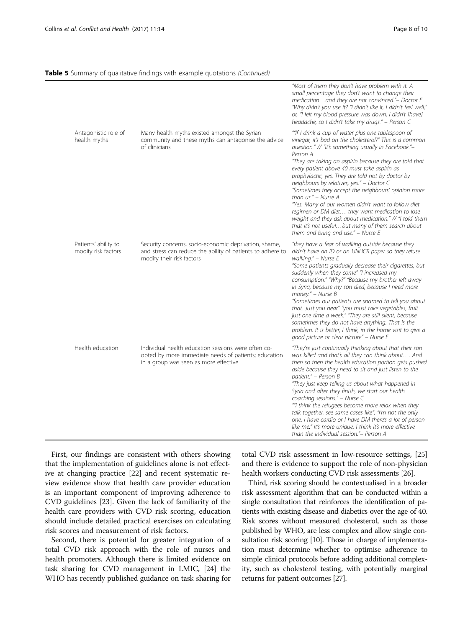#### Table 5 Summary of qualitative findings with example quotations (Continued)

|                                             |                                                                                                                                                      | "Most of them they don't have problem with it. A<br>small percentage they don't want to change their<br>medicationand they are not convinced."- Doctor E<br>"Why didn't you use it? "I didn't like it, I didn't feel well,"<br>or, "I felt my blood pressure was down, I didn't [have]<br>headache, so I didn't take my drugs." - Person C                                                                                                                                                                                                                                                                                                                                                                                                 |
|---------------------------------------------|------------------------------------------------------------------------------------------------------------------------------------------------------|--------------------------------------------------------------------------------------------------------------------------------------------------------------------------------------------------------------------------------------------------------------------------------------------------------------------------------------------------------------------------------------------------------------------------------------------------------------------------------------------------------------------------------------------------------------------------------------------------------------------------------------------------------------------------------------------------------------------------------------------|
| Antagonistic role of<br>health myths        | Many health myths existed amongst the Syrian<br>community and these myths can antagonise the advice<br>of clinicians                                 | ""If I drink a cup of water plus one tablespoon of<br>vinegar, it's bad on the cholesterol?" This is a common<br>question." // "It's something usually in Facebook."-<br>Person A<br>"They are taking an aspirin because they are told that<br>every patient above 40 must take aspirin as<br>prophylactic, yes. They are told not by doctor by<br>neighbours by relatives, yes." - Doctor C<br>"Sometimes they accept the neighbours' opinion more<br>than us." - Nurse A<br>"Yes. Many of our women didn't want to follow diet<br>regimen or DM diet they want medication to lose<br>weight and they ask about medication." // "I told them<br>that it's not usefulbut many of them search about<br>them and bring and use." $-$ Nurse E |
| Patients' ability to<br>modify risk factors | Security concerns, socio-economic deprivation, shame,<br>and stress can reduce the ability of patients to adhere to<br>modify their risk factors     | "they have a fear of walking outside because they<br>didn't have an ID or an UNHCR paper so they refuse<br>walking." - Nurse E<br>"Some patients gradually decrease their cigarettes, but<br>suddenly when they come" "I increased my<br>consumption." "Why?" "Because my brother left away<br>in Syria, because my son died, because I need more<br>money." - Nurse B<br>"Sometimes our patients are shamed to tell you about<br>that. Just you hear" "you must take vegetables, fruit<br>just one time a week." "They are still silent, because<br>sometimes they do not have anything. That is the<br>problem. It is better, I think, in the home visit to give a<br>good picture or clear picture" - Nurse F                           |
| Health education                            | Individual health education sessions were often co-<br>opted by more immediate needs of patients; education<br>in a group was seen as more effective | "They're just continually thinking about that their son<br>was killed and that's all they can think about And<br>then so then the health education portion gets pushed<br>aside because they need to sit and just listen to the<br>patient." - Person B<br>"They just keep telling us about what happened in<br>Syria and after they finish, we start our health<br>coaching sessions." - Nurse C<br>""I think the refugees become more relax when they<br>talk together, see same cases like", "I'm not the only<br>one. I have cardio or I have DM there's a lot of person<br>like me." It's more unique. I think it's more effective<br>than the individual session." – Person A                                                        |

First, our findings are consistent with others showing that the implementation of guidelines alone is not effective at changing practice [\[22](#page-9-0)] and recent systematic review evidence show that health care provider education is an important component of improving adherence to CVD guidelines [\[23](#page-9-0)]. Given the lack of familiarity of the health care providers with CVD risk scoring, education should include detailed practical exercises on calculating risk scores and measurement of risk factors.

Second, there is potential for greater integration of a total CVD risk approach with the role of nurses and health promoters. Although there is limited evidence on task sharing for CVD management in LMIC, [[24\]](#page-9-0) the WHO has recently published guidance on task sharing for

total CVD risk assessment in low-resource settings, [[25](#page-9-0)] and there is evidence to support the role of non-physician health workers conducting CVD risk assessments [\[26\]](#page-9-0).

Third, risk scoring should be contextualised in a broader risk assessment algorithm that can be conducted within a single consultation that reinforces the identification of patients with existing disease and diabetics over the age of 40. Risk scores without measured cholesterol, such as those published by WHO, are less complex and allow single consultation risk scoring [\[10\]](#page-9-0). Those in charge of implementation must determine whether to optimise adherence to simple clinical protocols before adding additional complexity, such as cholesterol testing, with potentially marginal returns for patient outcomes [\[27\]](#page-9-0).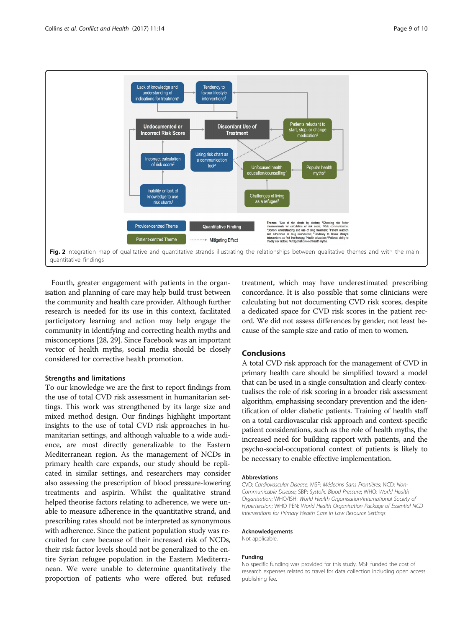<span id="page-8-0"></span>

Fourth, greater engagement with patients in the organisation and planning of care may help build trust between the community and health care provider. Although further research is needed for its use in this context, facilitated participatory learning and action may help engage the community in identifying and correcting health myths and misconceptions [[28](#page-9-0), [29\]](#page-9-0). Since Facebook was an important vector of health myths, social media should be closely considered for corrective health promotion.

#### Strengths and limitations

To our knowledge we are the first to report findings from the use of total CVD risk assessment in humanitarian settings. This work was strengthened by its large size and mixed method design. Our findings highlight important insights to the use of total CVD risk approaches in humanitarian settings, and although valuable to a wide audience, are most directly generalizable to the Eastern Mediterranean region. As the management of NCDs in primary health care expands, our study should be replicated in similar settings, and researchers may consider also assessing the prescription of blood pressure-lowering treatments and aspirin. Whilst the qualitative strand helped theorise factors relating to adherence, we were unable to measure adherence in the quantitative strand, and prescribing rates should not be interpreted as synonymous with adherence. Since the patient population study was recruited for care because of their increased risk of NCDs, their risk factor levels should not be generalized to the entire Syrian refugee population in the Eastern Mediterranean. We were unable to determine quantitatively the proportion of patients who were offered but refused

treatment, which may have underestimated prescribing concordance. It is also possible that some clinicians were calculating but not documenting CVD risk scores, despite a dedicated space for CVD risk scores in the patient record. We did not assess differences by gender, not least because of the sample size and ratio of men to women.

#### Conclusions

A total CVD risk approach for the management of CVD in primary health care should be simplified toward a model that can be used in a single consultation and clearly contextualises the role of risk scoring in a broader risk assessment algorithm, emphasising secondary prevention and the identification of older diabetic patients. Training of health staff on a total cardiovascular risk approach and context-specific patient considerations, such as the role of health myths, the increased need for building rapport with patients, and the psycho-social-occupational context of patients is likely to be necessary to enable effective implementation.

#### Abbreviations

CVD: Cardiovascular Disease; MSF: Médecins Sans Frontières; NCD: Non-Communicable Disease; SBP: Systolic Blood Pressure; WHO: World Health Organisation; WHO/ISH: World Health Organisation/International Society of Hypertension; WHO PEN: World Health Organisation Package of Essential NCD Interventions for Primary Health Care in Low Resource Settings

#### Acknowledgements

Not applicable.

#### Funding

No specific funding was provided for this study. MSF funded the cost of research expenses related to travel for data collection including open access publishing fee.